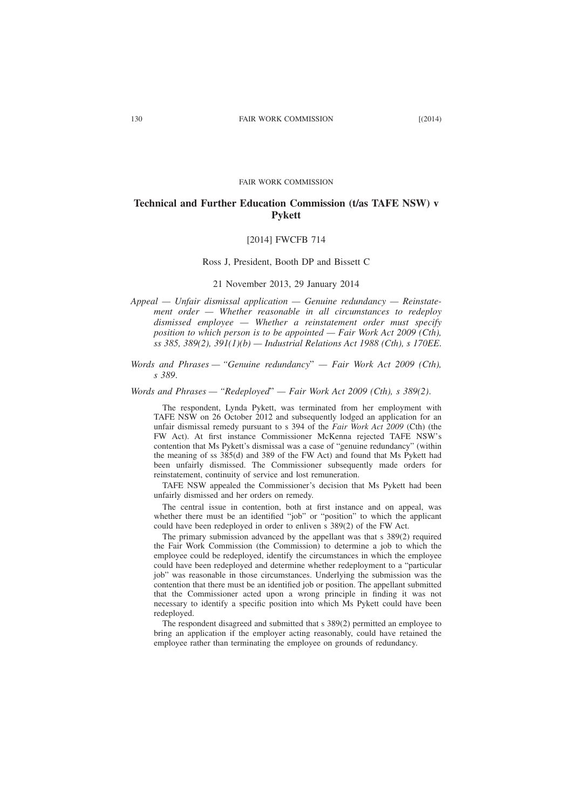#### FAIR WORK COMMISSION

# **Technical and Further Education Commission (t/as TAFE NSW) v Pykett**

### [2014] FWCFB 714

#### Ross J, President, Booth DP and Bissett C

## 21 November 2013, 29 January 2014

*Appeal — Unfair dismissal application — Genuine redundancy — Reinstatement order — Whether reasonable in all circumstances to redeploy dismissed employee — Whether a reinstatement order must specify position to which person is to be appointed — Fair Work Act 2009 (Cth), ss 385, 389(2), 391(1)(b) — Industrial Relations Act 1988 (Cth), s 170EE*.

*Words and Phrases — "Genuine redundancy*" *— Fair Work Act 2009 (Cth), s 389*.

#### *Words and Phrases — "Redeployed*" *— Fair Work Act 2009 (Cth), s 389(2)*.

The respondent, Lynda Pykett, was terminated from her employment with TAFE NSW on 26 October 2012 and subsequently lodged an application for an unfair dismissal remedy pursuant to s 394 of the *Fair Work Act 2009* (Cth) (the FW Act). At first instance Commissioner McKenna rejected TAFE NSW's contention that Ms Pykett's dismissal was a case of "genuine redundancy" (within the meaning of ss 385(d) and 389 of the FW Act) and found that Ms Pykett had been unfairly dismissed. The Commissioner subsequently made orders for reinstatement, continuity of service and lost remuneration.

TAFE NSW appealed the Commissioner's decision that Ms Pykett had been unfairly dismissed and her orders on remedy.

The central issue in contention, both at first instance and on appeal, was whether there must be an identified "job" or "position" to which the applicant could have been redeployed in order to enliven s 389(2) of the FW Act.

The primary submission advanced by the appellant was that s 389(2) required the Fair Work Commission (the Commission) to determine a job to which the employee could be redeployed, identify the circumstances in which the employee could have been redeployed and determine whether redeployment to a "particular job" was reasonable in those circumstances. Underlying the submission was the contention that there must be an identified job or position. The appellant submitted that the Commissioner acted upon a wrong principle in finding it was not necessary to identify a specific position into which Ms Pykett could have been redeployed.

The respondent disagreed and submitted that s 389(2) permitted an employee to bring an application if the employer acting reasonably, could have retained the employee rather than terminating the employee on grounds of redundancy.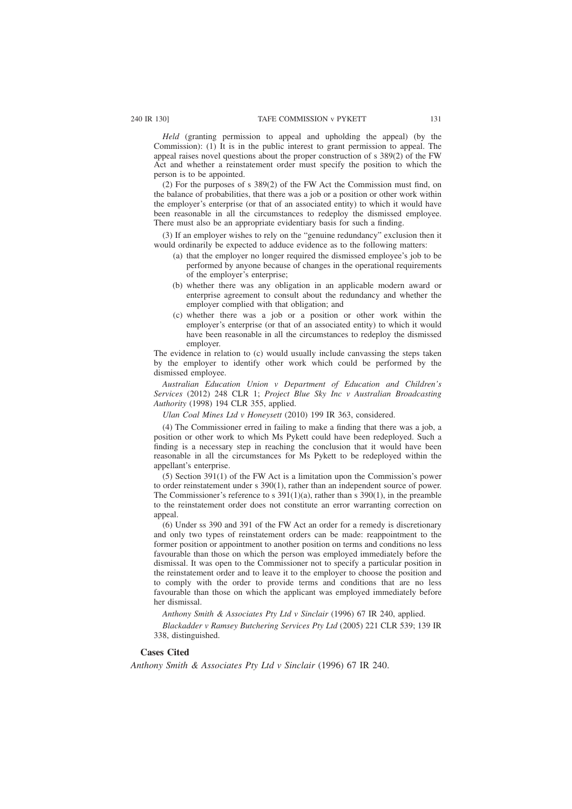*Held* (granting permission to appeal and upholding the appeal) (by the Commission): (1) It is in the public interest to grant permission to appeal. The appeal raises novel questions about the proper construction of s 389(2) of the FW Act and whether a reinstatement order must specify the position to which the person is to be appointed.

(2) For the purposes of s 389(2) of the FW Act the Commission must find, on the balance of probabilities, that there was a job or a position or other work within the employer's enterprise (or that of an associated entity) to which it would have been reasonable in all the circumstances to redeploy the dismissed employee. There must also be an appropriate evidentiary basis for such a finding.

(3) If an employer wishes to rely on the "genuine redundancy" exclusion then it would ordinarily be expected to adduce evidence as to the following matters:

- (a) that the employer no longer required the dismissed employee's job to be performed by anyone because of changes in the operational requirements of the employer's enterprise;
- (b) whether there was any obligation in an applicable modern award or enterprise agreement to consult about the redundancy and whether the employer complied with that obligation; and
- (c) whether there was a job or a position or other work within the employer's enterprise (or that of an associated entity) to which it would have been reasonable in all the circumstances to redeploy the dismissed employer.

The evidence in relation to (c) would usually include canvassing the steps taken by the employer to identify other work which could be performed by the dismissed employee.

*Australian Education Union v Department of Education and Children's Services* (2012) 248 CLR 1; *Project Blue Sky Inc v Australian Broadcasting Authority* (1998) 194 CLR 355, applied.

*Ulan Coal Mines Ltd v Honeysett* (2010) 199 IR 363, considered.

(4) The Commissioner erred in failing to make a finding that there was a job, a position or other work to which Ms Pykett could have been redeployed. Such a finding is a necessary step in reaching the conclusion that it would have been reasonable in all the circumstances for Ms Pykett to be redeployed within the appellant's enterprise.

(5) Section 391(1) of the FW Act is a limitation upon the Commission's power to order reinstatement under s 390(1), rather than an independent source of power. The Commissioner's reference to s  $391(1)(a)$ , rather than s  $390(1)$ , in the preamble to the reinstatement order does not constitute an error warranting correction on appeal.

(6) Under ss 390 and 391 of the FW Act an order for a remedy is discretionary and only two types of reinstatement orders can be made: reappointment to the former position or appointment to another position on terms and conditions no less favourable than those on which the person was employed immediately before the dismissal. It was open to the Commissioner not to specify a particular position in the reinstatement order and to leave it to the employer to choose the position and to comply with the order to provide terms and conditions that are no less favourable than those on which the applicant was employed immediately before her dismissal.

*Anthony Smith & Associates Pty Ltd v Sinclair* (1996) 67 IR 240, applied.

*Blackadder v Ramsey Butchering Services Pty Ltd* (2005) 221 CLR 539; 139 IR 338, distinguished.

#### **Cases Cited**

*Anthony Smith & Associates Pty Ltd v Sinclair* (1996) 67 IR 240.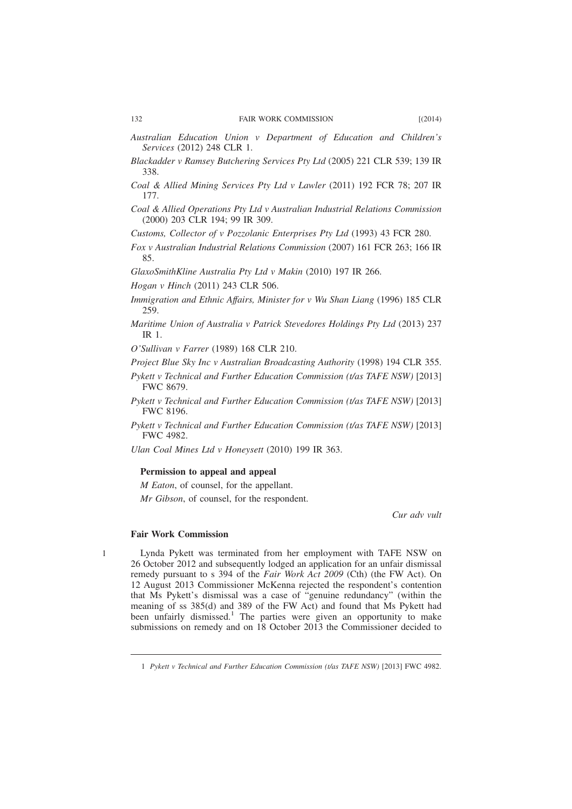- *Australian Education Union v Department of Education and Children's Services* (2012) 248 CLR 1.
- *Blackadder v Ramsey Butchering Services Pty Ltd* (2005) 221 CLR 539; 139 IR 338.
- *Coal & Allied Mining Services Pty Ltd v Lawler* (2011) 192 FCR 78; 207 IR 177.
- *Coal & Allied Operations Pty Ltd v Australian Industrial Relations Commission* (2000) 203 CLR 194; 99 IR 309.

*Customs, Collector of v Pozzolanic Enterprises Pty Ltd* (1993) 43 FCR 280.

*Fox v Australian Industrial Relations Commission* (2007) 161 FCR 263; 166 IR 85.

*GlaxoSmithKline Australia Pty Ltd v Makin* (2010) 197 IR 266.

*Hogan v Hinch* (2011) 243 CLR 506.

- *Immigration and Ethnic Affairs, Minister for v Wu Shan Liang* (1996) 185 CLR 259.
- *Maritime Union of Australia v Patrick Stevedores Holdings Pty Ltd* (2013) 237 IR 1.

*O'Sullivan v Farrer* (1989) 168 CLR 210.

*Project Blue Sky Inc v Australian Broadcasting Authority* (1998) 194 CLR 355.

*Pykett v Technical and Further Education Commission (t/as TAFE NSW)* [2013] FWC 8679.

*Pykett v Technical and Further Education Commission (t/as TAFE NSW)* [2013] FWC 8196.

*Pykett v Technical and Further Education Commission (t/as TAFE NSW)* [2013] FWC 4982.

*Ulan Coal Mines Ltd v Honeysett* (2010) 199 IR 363.

# **Permission to appeal and appeal**

*M Eaton*, of counsel, for the appellant. *Mr Gibson*, of counsel, for the respondent.

*Cur adv vult*

# **Fair Work Commission**

1

Lynda Pykett was terminated from her employment with TAFE NSW on 26 October 2012 and subsequently lodged an application for an unfair dismissal remedy pursuant to s 394 of the *Fair Work Act 2009* (Cth) (the FW Act). On 12 August 2013 Commissioner McKenna rejected the respondent's contention that Ms Pykett's dismissal was a case of "genuine redundancy" (within the meaning of ss 385(d) and 389 of the FW Act) and found that Ms Pykett had been unfairly dismissed.<sup>1</sup> The parties were given an opportunity to make submissions on remedy and on 18 October 2013 the Commissioner decided to

<sup>1</sup> *Pykett v Technical and Further Education Commission (t/as TAFE NSW)* [2013] FWC 4982.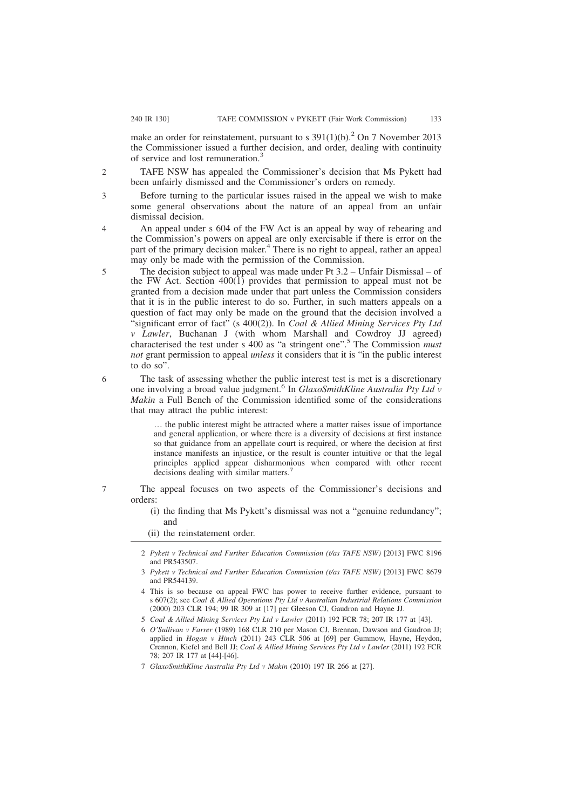make an order for reinstatement, pursuant to s  $391(1)(b)$ .<sup>2</sup> On 7 November 2013 the Commissioner issued a further decision, and order, dealing with continuity of service and lost remuneration.<sup>3</sup>

Before turning to the particular issues raised in the appeal we wish to make some general observations about the nature of an appeal from an unfair

TAFE NSW has appealed the Commissioner's decision that Ms Pykett had been unfairly dismissed and the Commissioner's orders on remedy.

3

 $\overline{2}$ 

 $\Delta$ 

5

dismissal decision. An appeal under s 604 of the FW Act is an appeal by way of rehearing and the Commission's powers on appeal are only exercisable if there is error on the part of the primary decision maker.<sup>4</sup> There is no right to appeal, rather an appeal may only be made with the permission of the Commission.

The decision subject to appeal was made under Pt 3.2 – Unfair Dismissal – of the FW Act. Section  $400(1)$  provides that permission to appeal must not be granted from a decision made under that part unless the Commission considers that it is in the public interest to do so. Further, in such matters appeals on a question of fact may only be made on the ground that the decision involved a "significant error of fact" (s 400(2)). In *Coal & Allied Mining Services Pty Ltd v Lawler*, Buchanan J (with whom Marshall and Cowdroy JJ agreed) characterised the test under s 400 as "a stringent one".<sup>5</sup> The Commission *must not* grant permission to appeal *unless* it considers that it is "in the public interest to do so".

The task of assessing whether the public interest test is met is a discretionary one involving a broad value judgment.<sup>6</sup> In *GlaxoSmithKline Australia Pty Ltd v Makin* a Full Bench of the Commission identified some of the considerations that may attract the public interest:

… the public interest might be attracted where a matter raises issue of importance and general application, or where there is a diversity of decisions at first instance so that guidance from an appellate court is required, or where the decision at first instance manifests an injustice, or the result is counter intuitive or that the legal principles applied appear disharmonious when compared with other recent decisions dealing with similar matters.<sup>7</sup>

The appeal focuses on two aspects of the Commissioner's decisions and orders:

(i) the finding that Ms Pykett's dismissal was not a "genuine redundancy"; and

(ii) the reinstatement order.

- 2 *Pykett v Technical and Further Education Commission (t/as TAFE NSW)* [2013] FWC 8196 and PR543507.
- 3 *Pykett v Technical and Further Education Commission (t/as TAFE NSW)* [2013] FWC 8679 and PR544139.
- 4 This is so because on appeal FWC has power to receive further evidence, pursuant to s 607(2); see *Coal & Allied Operations Pty Ltd v Australian Industrial Relations Commission* (2000) 203 CLR 194; 99 IR 309 at [17] per Gleeson CJ, Gaudron and Hayne JJ.
- 5 *Coal & Allied Mining Services Pty Ltd v Lawler* (2011) 192 FCR 78; 207 IR 177 at [43].
- 6 *O'Sullivan v Farrer* (1989) 168 CLR 210 per Mason CJ, Brennan, Dawson and Gaudron JJ; applied in *Hogan v Hinch* (2011) 243 CLR 506 at [69] per Gummow, Hayne, Heydon, Crennon, Kiefel and Bell JJ; *Coal & Allied Mining Services Pty Ltd v Lawler* (2011) 192 FCR 78; 207 IR 177 at [44]-[46].
- 7 *GlaxoSmithKline Australia Pty Ltd v Makin* (2010) 197 IR 266 at [27].

6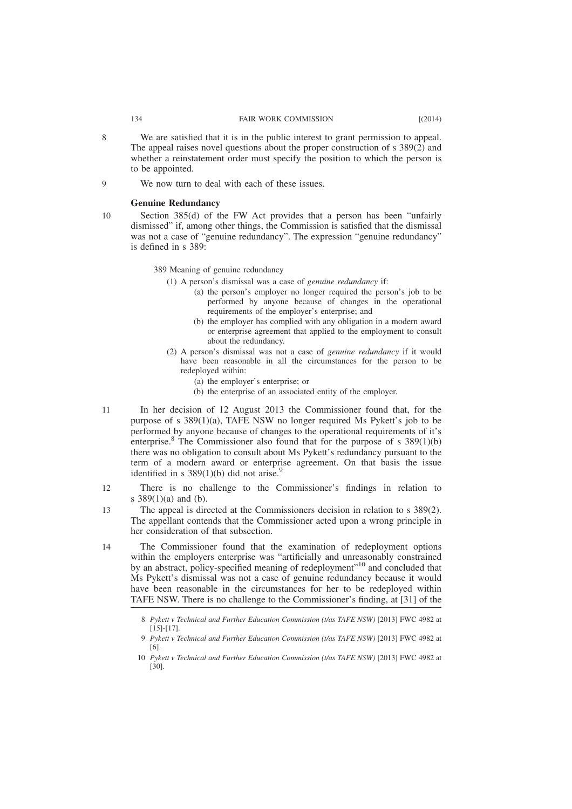- We are satisfied that it is in the public interest to grant permission to appeal. The appeal raises novel questions about the proper construction of s 389(2) and whether a reinstatement order must specify the position to which the person is to be appointed.
- We now turn to deal with each of these issues.  $\overline{Q}$

#### **Genuine Redundancy**

Section 385(d) of the FW Act provides that a person has been "unfairly dismissed" if, among other things, the Commission is satisfied that the dismissal was not a case of "genuine redundancy". The expression "genuine redundancy" is defined in s 389:

389 Meaning of genuine redundancy

- (1) A person's dismissal was a case of *genuine redundancy* if:
	- (a) the person's employer no longer required the person's job to be performed by anyone because of changes in the operational requirements of the employer's enterprise; and
	- (b) the employer has complied with any obligation in a modern award or enterprise agreement that applied to the employment to consult about the redundancy.
- (2) A person's dismissal was not a case of *genuine redundancy* if it would have been reasonable in all the circumstances for the person to be redeployed within:
	- (a) the employer's enterprise; or
	- (b) the enterprise of an associated entity of the employer.
- In her decision of 12 August 2013 the Commissioner found that, for the purpose of s  $389(1)(a)$ , TAFE NSW no longer required Ms Pykett's job to be performed by anyone because of changes to the operational requirements of it's enterprise.<sup>8</sup> The Commissioner also found that for the purpose of s  $389(1)(b)$ there was no obligation to consult about Ms Pykett's redundancy pursuant to the term of a modern award or enterprise agreement. On that basis the issue identified in s  $389(1)(b)$  did not arise.<sup>9</sup> 11
- There is no challenge to the Commissioner's findings in relation to s 389(1)(a) and (b). 12
- The appeal is directed at the Commissioners decision in relation to s 389(2). The appellant contends that the Commissioner acted upon a wrong principle in her consideration of that subsection. 13
- The Commissioner found that the examination of redeployment options within the employers enterprise was "artificially and unreasonably constrained by an abstract, policy-specified meaning of redeployment"<sup>10</sup> and concluded that Ms Pykett's dismissal was not a case of genuine redundancy because it would have been reasonable in the circumstances for her to be redeployed within TAFE NSW. There is no challenge to the Commissioner's finding, at [31] of the 14

8

<sup>8</sup> *Pykett v Technical and Further Education Commission (t/as TAFE NSW)* [2013] FWC 4982 at  $[15]-[17]$ .

<sup>9</sup> *Pykett v Technical and Further Education Commission (t/as TAFE NSW)* [2013] FWC 4982 at [6].

<sup>10</sup> *Pykett v Technical and Further Education Commission (t/as TAFE NSW)* [2013] FWC 4982 at [30].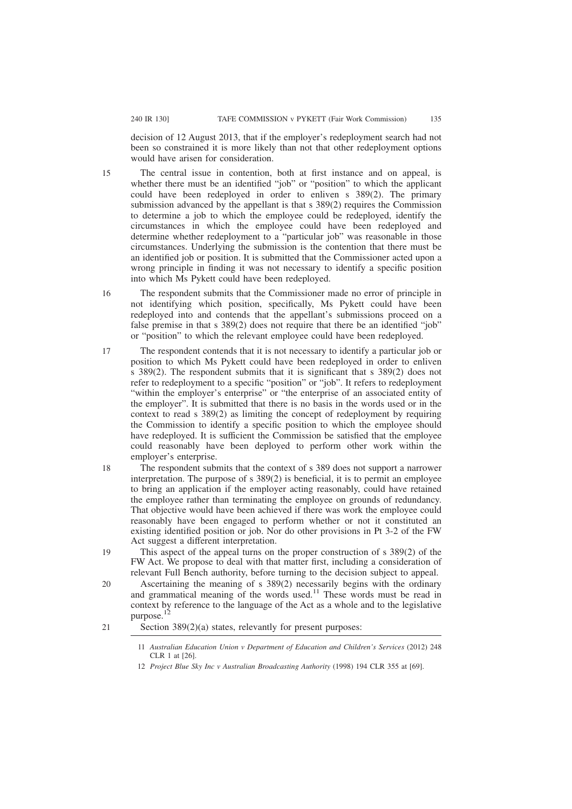decision of 12 August 2013, that if the employer's redeployment search had not been so constrained it is more likely than not that other redeployment options would have arisen for consideration.

- The central issue in contention, both at first instance and on appeal, is whether there must be an identified "job" or "position" to which the applicant could have been redeployed in order to enliven s 389(2). The primary submission advanced by the appellant is that s 389(2) requires the Commission to determine a job to which the employee could be redeployed, identify the circumstances in which the employee could have been redeployed and determine whether redeployment to a "particular job" was reasonable in those circumstances. Underlying the submission is the contention that there must be an identified job or position. It is submitted that the Commissioner acted upon a wrong principle in finding it was not necessary to identify a specific position into which Ms Pykett could have been redeployed.
- The respondent submits that the Commissioner made no error of principle in not identifying which position, specifically, Ms Pykett could have been redeployed into and contends that the appellant's submissions proceed on a false premise in that s 389(2) does not require that there be an identified "job" or "position" to which the relevant employee could have been redeployed. 16
- The respondent contends that it is not necessary to identify a particular job or position to which Ms Pykett could have been redeployed in order to enliven s 389(2). The respondent submits that it is significant that s 389(2) does not refer to redeployment to a specific "position" or "job". It refers to redeployment "within the employer's enterprise" or "the enterprise of an associated entity of the employer". It is submitted that there is no basis in the words used or in the context to read s 389(2) as limiting the concept of redeployment by requiring the Commission to identify a specific position to which the employee should have redeployed. It is sufficient the Commission be satisfied that the employee could reasonably have been deployed to perform other work within the employer's enterprise. 17
- The respondent submits that the context of s 389 does not support a narrower interpretation. The purpose of s 389(2) is beneficial, it is to permit an employee to bring an application if the employer acting reasonably, could have retained the employee rather than terminating the employee on grounds of redundancy. That objective would have been achieved if there was work the employee could reasonably have been engaged to perform whether or not it constituted an existing identified position or job. Nor do other provisions in Pt 3-2 of the FW Act suggest a different interpretation. 18
- This aspect of the appeal turns on the proper construction of s 389(2) of the FW Act. We propose to deal with that matter first, including a consideration of relevant Full Bench authority, before turning to the decision subject to appeal. 19
- Ascertaining the meaning of s 389(2) necessarily begins with the ordinary and grammatical meaning of the words used.<sup>11</sup> These words must be read in context by reference to the language of the Act as a whole and to the legislative  $p$ urpose.<sup>1</sup> 20
- Section 389(2)(a) states, relevantly for present purposes: 21

12 *Project Blue Sky Inc v Australian Broadcasting Authority* (1998) 194 CLR 355 at [69].

<sup>11</sup> *Australian Education Union v Department of Education and Children's Services* (2012) 248 CLR 1 at [26].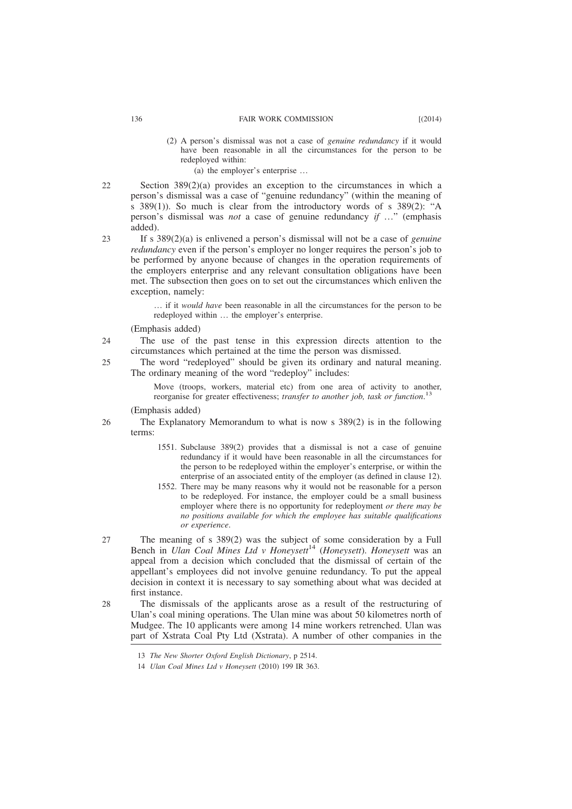- (2) A person's dismissal was not a case of *genuine redundancy* if it would have been reasonable in all the circumstances for the person to be redeployed within:
	- (a) the employer's enterprise …
- Section 389(2)(a) provides an exception to the circumstances in which a person's dismissal was a case of "genuine redundancy" (within the meaning of s 389(1)). So much is clear from the introductory words of s 389(2): "A person's dismissal was *not* a case of genuine redundancy *if* …" (emphasis added).
- 23

26

22

If s 389(2)(a) is enlivened a person's dismissal will not be a case of *genuine redundancy* even if the person's employer no longer requires the person's job to be performed by anyone because of changes in the operation requirements of the employers enterprise and any relevant consultation obligations have been met. The subsection then goes on to set out the circumstances which enliven the exception, namely:

… if it *would have* been reasonable in all the circumstances for the person to be redeployed within … the employer's enterprise.

(Emphasis added)

- The use of the past tense in this expression directs attention to the circumstances which pertained at the time the person was dismissed. 24
- The word "redeployed" should be given its ordinary and natural meaning. The ordinary meaning of the word "redeploy" includes: 25

Move (troops, workers, material etc) from one area of activity to another, reorganise for greater effectiveness; *transfer to another job, task or function*. 13

(Emphasis added)

The Explanatory Memorandum to what is now s 389(2) is in the following terms:

- 1551. Subclause 389(2) provides that a dismissal is not a case of genuine redundancy if it would have been reasonable in all the circumstances for the person to be redeployed within the employer's enterprise, or within the enterprise of an associated entity of the employer (as defined in clause 12).
- 1552. There may be many reasons why it would not be reasonable for a person to be redeployed. For instance, the employer could be a small business employer where there is no opportunity for redeployment *or there may be no positions available for which the employee has suitable qualifications or experience*.
- The meaning of s 389(2) was the subject of some consideration by a Full Bench in *Ulan Coal Mines Ltd v Honeysett*<sup>14</sup> (*Honeysett*). *Honeysett* was an appeal from a decision which concluded that the dismissal of certain of the appellant's employees did not involve genuine redundancy. To put the appeal decision in context it is necessary to say something about what was decided at first instance. 27
- The dismissals of the applicants arose as a result of the restructuring of Ulan's coal mining operations. The Ulan mine was about 50 kilometres north of Mudgee. The 10 applicants were among 14 mine workers retrenched. Ulan was part of Xstrata Coal Pty Ltd (Xstrata). A number of other companies in the 28

<sup>13</sup> *The New Shorter Oxford English Dictionary*, p 2514.

<sup>14</sup> *Ulan Coal Mines Ltd v Honeysett* (2010) 199 IR 363.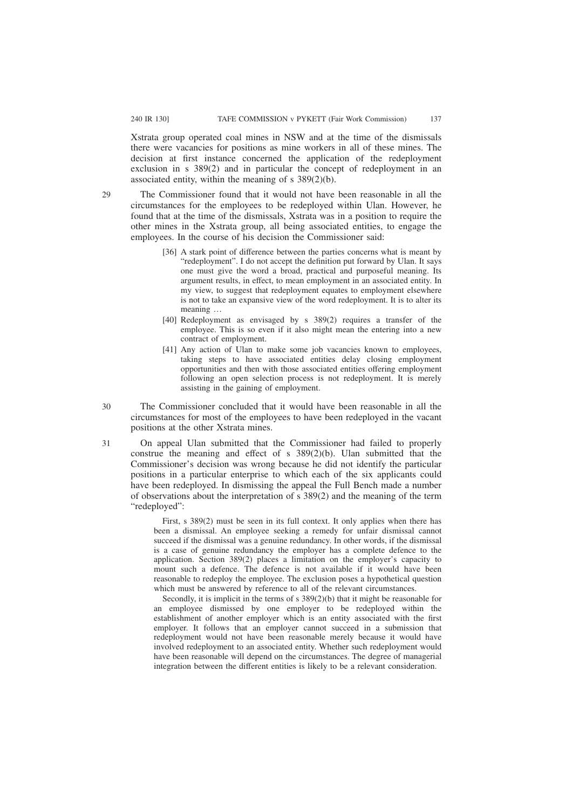Xstrata group operated coal mines in NSW and at the time of the dismissals there were vacancies for positions as mine workers in all of these mines. The decision at first instance concerned the application of the redeployment exclusion in s 389(2) and in particular the concept of redeployment in an associated entity, within the meaning of s 389(2)(b).

The Commissioner found that it would not have been reasonable in all the circumstances for the employees to be redeployed within Ulan. However, he found that at the time of the dismissals, Xstrata was in a position to require the other mines in the Xstrata group, all being associated entities, to engage the employees. In the course of his decision the Commissioner said:

- [36] A stark point of difference between the parties concerns what is meant by "redeployment". I do not accept the definition put forward by Ulan. It says one must give the word a broad, practical and purposeful meaning. Its argument results, in effect, to mean employment in an associated entity. In my view, to suggest that redeployment equates to employment elsewhere is not to take an expansive view of the word redeployment. It is to alter its meaning …
- [40] Redeployment as envisaged by s 389(2) requires a transfer of the employee. This is so even if it also might mean the entering into a new contract of employment.
- [41] Any action of Ulan to make some job vacancies known to employees, taking steps to have associated entities delay closing employment opportunities and then with those associated entities offering employment following an open selection process is not redeployment. It is merely assisting in the gaining of employment.
- The Commissioner concluded that it would have been reasonable in all the circumstances for most of the employees to have been redeployed in the vacant positions at the other Xstrata mines. 30

On appeal Ulan submitted that the Commissioner had failed to properly construe the meaning and effect of s 389(2)(b). Ulan submitted that the Commissioner's decision was wrong because he did not identify the particular positions in a particular enterprise to which each of the six applicants could have been redeployed. In dismissing the appeal the Full Bench made a number of observations about the interpretation of  $s$  389(2) and the meaning of the term "redeployed":

> First, s 389(2) must be seen in its full context. It only applies when there has been a dismissal. An employee seeking a remedy for unfair dismissal cannot succeed if the dismissal was a genuine redundancy. In other words, if the dismissal is a case of genuine redundancy the employer has a complete defence to the application. Section 389(2) places a limitation on the employer's capacity to mount such a defence. The defence is not available if it would have been reasonable to redeploy the employee. The exclusion poses a hypothetical question which must be answered by reference to all of the relevant circumstances.

> Secondly, it is implicit in the terms of s 389(2)(b) that it might be reasonable for an employee dismissed by one employer to be redeployed within the establishment of another employer which is an entity associated with the first employer. It follows that an employer cannot succeed in a submission that redeployment would not have been reasonable merely because it would have involved redeployment to an associated entity. Whether such redeployment would have been reasonable will depend on the circumstances. The degree of managerial integration between the different entities is likely to be a relevant consideration.

29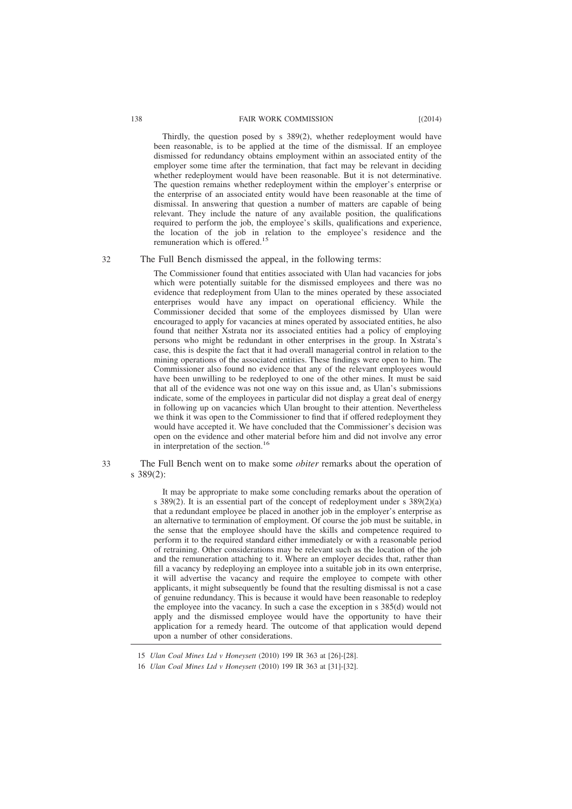Thirdly, the question posed by s 389(2), whether redeployment would have been reasonable, is to be applied at the time of the dismissal. If an employee dismissed for redundancy obtains employment within an associated entity of the employer some time after the termination, that fact may be relevant in deciding whether redeployment would have been reasonable. But it is not determinative. The question remains whether redeployment within the employer's enterprise or the enterprise of an associated entity would have been reasonable at the time of dismissal. In answering that question a number of matters are capable of being relevant. They include the nature of any available position, the qualifications required to perform the job, the employee's skills, qualifications and experience, the location of the job in relation to the employee's residence and the remuneration which is offered.<sup>15</sup>

32

# The Full Bench dismissed the appeal, in the following terms:

The Commissioner found that entities associated with Ulan had vacancies for jobs which were potentially suitable for the dismissed employees and there was no evidence that redeployment from Ulan to the mines operated by these associated enterprises would have any impact on operational efficiency. While the Commissioner decided that some of the employees dismissed by Ulan were encouraged to apply for vacancies at mines operated by associated entities, he also found that neither Xstrata nor its associated entities had a policy of employing persons who might be redundant in other enterprises in the group. In Xstrata's case, this is despite the fact that it had overall managerial control in relation to the mining operations of the associated entities. These findings were open to him. The Commissioner also found no evidence that any of the relevant employees would have been unwilling to be redeployed to one of the other mines. It must be said that all of the evidence was not one way on this issue and, as Ulan's submissions indicate, some of the employees in particular did not display a great deal of energy in following up on vacancies which Ulan brought to their attention. Nevertheless we think it was open to the Commissioner to find that if offered redeployment they would have accepted it. We have concluded that the Commissioner's decision was open on the evidence and other material before him and did not involve any error in interpretation of the section.<sup>16</sup>

#### The Full Bench went on to make some *obiter* remarks about the operation of s 389(2): 33

It may be appropriate to make some concluding remarks about the operation of s 389(2). It is an essential part of the concept of redeployment under s  $389(2)(a)$ that a redundant employee be placed in another job in the employer's enterprise as an alternative to termination of employment. Of course the job must be suitable, in the sense that the employee should have the skills and competence required to perform it to the required standard either immediately or with a reasonable period of retraining. Other considerations may be relevant such as the location of the job and the remuneration attaching to it. Where an employer decides that, rather than fill a vacancy by redeploying an employee into a suitable job in its own enterprise, it will advertise the vacancy and require the employee to compete with other applicants, it might subsequently be found that the resulting dismissal is not a case of genuine redundancy. This is because it would have been reasonable to redeploy the employee into the vacancy. In such a case the exception in s 385(d) would not apply and the dismissed employee would have the opportunity to have their application for a remedy heard. The outcome of that application would depend upon a number of other considerations.

<sup>15</sup> *Ulan Coal Mines Ltd v Honeysett* (2010) 199 IR 363 at [26]-[28].

<sup>16</sup> *Ulan Coal Mines Ltd v Honeysett* (2010) 199 IR 363 at [31]-[32].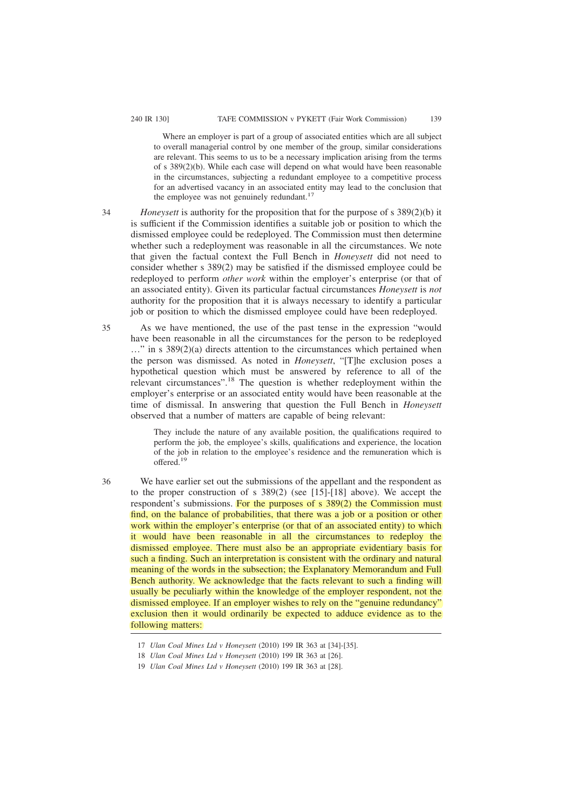Where an employer is part of a group of associated entities which are all subject to overall managerial control by one member of the group, similar considerations are relevant. This seems to us to be a necessary implication arising from the terms of s 389(2)(b). While each case will depend on what would have been reasonable in the circumstances, subjecting a redundant employee to a competitive process for an advertised vacancy in an associated entity may lead to the conclusion that the employee was not genuinely redundant. $17$ 

34

35

*Honeysett* is authority for the proposition that for the purpose of s 389(2)(b) it is sufficient if the Commission identifies a suitable job or position to which the dismissed employee could be redeployed. The Commission must then determine whether such a redeployment was reasonable in all the circumstances. We note that given the factual context the Full Bench in *Honeysett* did not need to consider whether s 389(2) may be satisfied if the dismissed employee could be redeployed to perform *other work* within the employer's enterprise (or that of an associated entity). Given its particular factual circumstances *Honeysett* is *not* authority for the proposition that it is always necessary to identify a particular job or position to which the dismissed employee could have been redeployed.

As we have mentioned, the use of the past tense in the expression "would have been reasonable in all the circumstances for the person to be redeployed …" in s 389(2)(a) directs attention to the circumstances which pertained when the person was dismissed. As noted in *Honeysett*, "[T]he exclusion poses a hypothetical question which must be answered by reference to all of the relevant circumstances".<sup>18</sup> The question is whether redeployment within the employer's enterprise or an associated entity would have been reasonable at the time of dismissal. In answering that question the Full Bench in *Honeysett* observed that a number of matters are capable of being relevant:

They include the nature of any available position, the qualifications required to perform the job, the employee's skills, qualifications and experience, the location of the job in relation to the employee's residence and the remuneration which is offered.<sup>19</sup>

36

We have earlier set out the submissions of the appellant and the respondent as to the proper construction of s 389(2) (see [15]-[18] above). We accept the respondent's submissions. For the purposes of s 389(2) the Commission must find, on the balance of probabilities, that there was a job or a position or other work within the employer's enterprise (or that of an associated entity) to which it would have been reasonable in all the circumstances to redeploy the dismissed employee. There must also be an appropriate evidentiary basis for such a finding. Such an interpretation is consistent with the ordinary and natural meaning of the words in the subsection; the Explanatory Memorandum and Full Bench authority. We acknowledge that the facts relevant to such a finding will usually be peculiarly within the knowledge of the employer respondent, not the dismissed employee. If an employer wishes to rely on the "genuine redundancy" exclusion then it would ordinarily be expected to adduce evidence as to the following matters:

<sup>17</sup> *Ulan Coal Mines Ltd v Honeysett* (2010) 199 IR 363 at [34]-[35].

<sup>18</sup> *Ulan Coal Mines Ltd v Honeysett* (2010) 199 IR 363 at [26].

<sup>19</sup> *Ulan Coal Mines Ltd v Honeysett* (2010) 199 IR 363 at [28].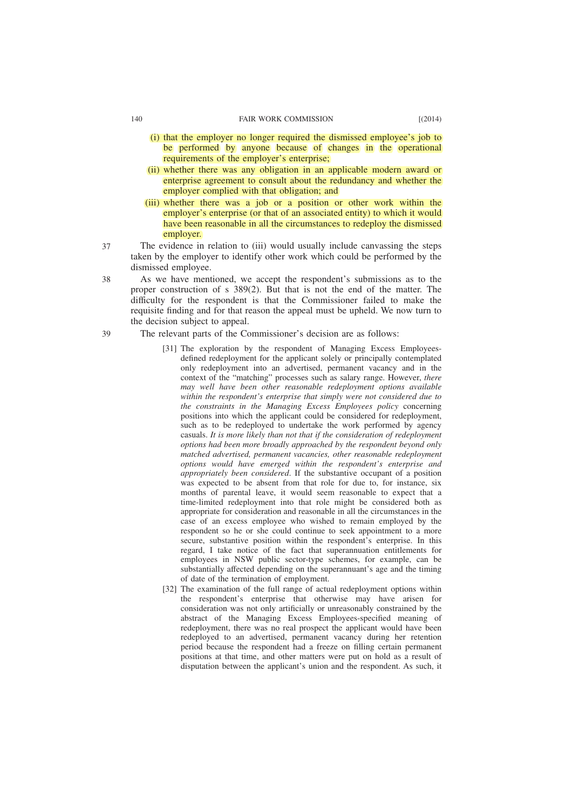- (i) that the employer no longer required the dismissed employee's job to be performed by anyone because of changes in the operational requirements of the employer's enterprise;
- (ii) whether there was any obligation in an applicable modern award or enterprise agreement to consult about the redundancy and whether the employer complied with that obligation; and
- (iii) whether there was a job or a position or other work within the employer's enterprise (or that of an associated entity) to which it would have been reasonable in all the circumstances to redeploy the dismissed employer.
- The evidence in relation to (iii) would usually include canvassing the steps taken by the employer to identify other work which could be performed by the dismissed employee. 37
- As we have mentioned, we accept the respondent's submissions as to the proper construction of s 389(2). But that is not the end of the matter. The difficulty for the respondent is that the Commissioner failed to make the requisite finding and for that reason the appeal must be upheld. We now turn to the decision subject to appeal. 38
- The relevant parts of the Commissioner's decision are as follows: 39
	- [31] The exploration by the respondent of Managing Excess Employeesdefined redeployment for the applicant solely or principally contemplated only redeployment into an advertised, permanent vacancy and in the context of the "matching" processes such as salary range. However, *there may well have been other reasonable redeployment options available within the respondent's enterprise that simply were not considered due to the constraints in the Managing Excess Employees policy* concerning positions into which the applicant could be considered for redeployment, such as to be redeployed to undertake the work performed by agency casuals. *It is more likely than not that if the consideration of redeployment options had been more broadly approached by the respondent beyond only matched advertised, permanent vacancies, other reasonable redeployment options would have emerged within the respondent's enterprise and appropriately been considered*. If the substantive occupant of a position was expected to be absent from that role for due to, for instance, six months of parental leave, it would seem reasonable to expect that a time-limited redeployment into that role might be considered both as appropriate for consideration and reasonable in all the circumstances in the case of an excess employee who wished to remain employed by the respondent so he or she could continue to seek appointment to a more secure, substantive position within the respondent's enterprise. In this regard, I take notice of the fact that superannuation entitlements for employees in NSW public sector-type schemes, for example, can be substantially affected depending on the superannuant's age and the timing of date of the termination of employment.
	- [32] The examination of the full range of actual redeployment options within the respondent's enterprise that otherwise may have arisen for consideration was not only artificially or unreasonably constrained by the abstract of the Managing Excess Employees-specified meaning of redeployment, there was no real prospect the applicant would have been redeployed to an advertised, permanent vacancy during her retention period because the respondent had a freeze on filling certain permanent positions at that time, and other matters were put on hold as a result of disputation between the applicant's union and the respondent. As such, it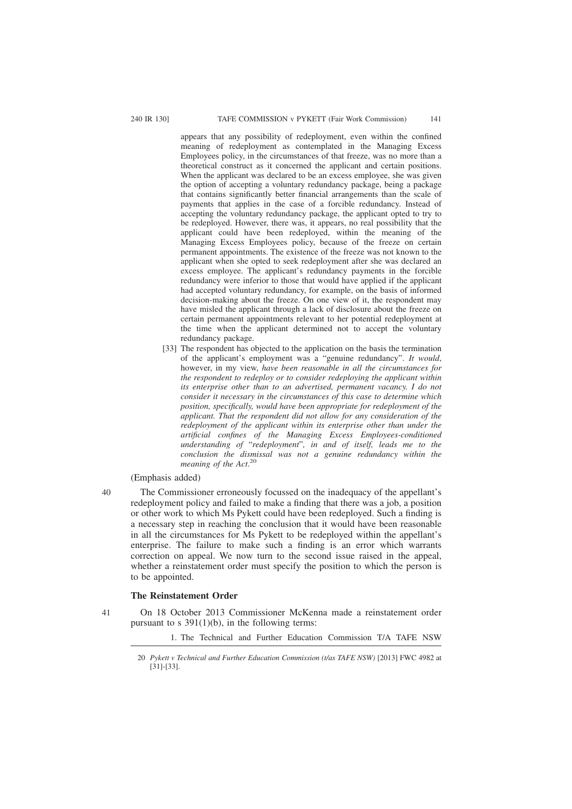appears that any possibility of redeployment, even within the confined meaning of redeployment as contemplated in the Managing Excess Employees policy, in the circumstances of that freeze, was no more than a theoretical construct as it concerned the applicant and certain positions. When the applicant was declared to be an excess employee, she was given the option of accepting a voluntary redundancy package, being a package that contains significantly better financial arrangements than the scale of payments that applies in the case of a forcible redundancy. Instead of accepting the voluntary redundancy package, the applicant opted to try to be redeployed. However, there was, it appears, no real possibility that the applicant could have been redeployed, within the meaning of the Managing Excess Employees policy, because of the freeze on certain permanent appointments. The existence of the freeze was not known to the applicant when she opted to seek redeployment after she was declared an excess employee. The applicant's redundancy payments in the forcible redundancy were inferior to those that would have applied if the applicant had accepted voluntary redundancy, for example, on the basis of informed decision-making about the freeze. On one view of it, the respondent may have misled the applicant through a lack of disclosure about the freeze on certain permanent appointments relevant to her potential redeployment at the time when the applicant determined not to accept the voluntary redundancy package.

[33] The respondent has objected to the application on the basis the termination of the applicant's employment was a "genuine redundancy". *It would*, however, in my view, *have been reasonable in all the circumstances for the respondent to redeploy or to consider redeploying the applicant within its enterprise other than to an advertised, permanent vacancy. I do not consider it necessary in the circumstances of this case to determine which position, specifically, would have been appropriate for redeployment of the applicant. That the respondent did not allow for any consideration of the redeployment of the applicant within its enterprise other than under the artificial confines of the Managing Excess Employees-conditioned understanding of* "*redeployment*"*, in and of itself, leads me to the conclusion the dismissal was not a genuine redundancy within the meaning of the Act*. 20

# (Emphasis added)

The Commissioner erroneously focussed on the inadequacy of the appellant's redeployment policy and failed to make a finding that there was a job, a position or other work to which Ms Pykett could have been redeployed. Such a finding is a necessary step in reaching the conclusion that it would have been reasonable in all the circumstances for Ms Pykett to be redeployed within the appellant's enterprise. The failure to make such a finding is an error which warrants correction on appeal. We now turn to the second issue raised in the appeal, whether a reinstatement order must specify the position to which the person is to be appointed.

# **The Reinstatement Order**

41

 $40$ 

On 18 October 2013 Commissioner McKenna made a reinstatement order pursuant to s  $391(1)(b)$ , in the following terms:

1. The Technical and Further Education Commission T/A TAFE NSW

<sup>20</sup> *Pykett v Technical and Further Education Commission (t/as TAFE NSW)* [2013] FWC 4982 at [31]-[33].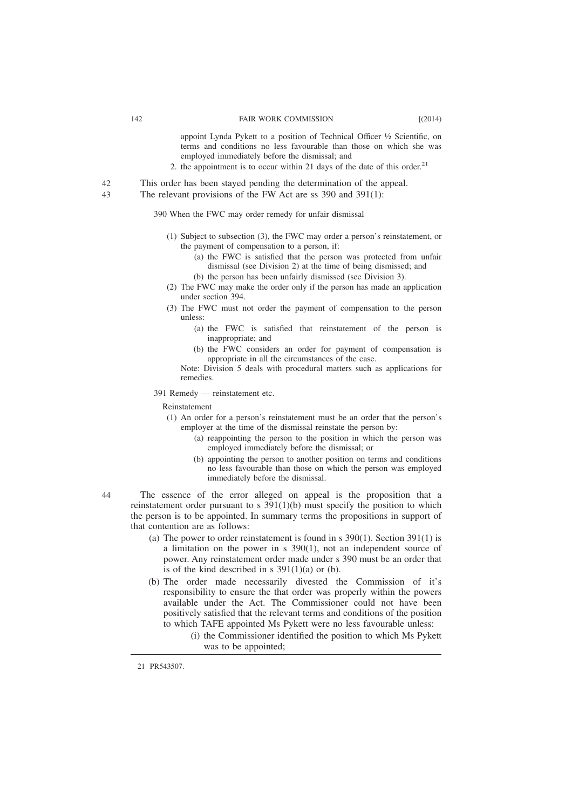appoint Lynda Pykett to a position of Technical Officer ½ Scientific, on terms and conditions no less favourable than those on which she was employed immediately before the dismissal; and

- 2. the appointment is to occur within 21 days of the date of this order.<sup>21</sup>
- This order has been stayed pending the determination of the appeal. 42
- The relevant provisions of the FW Act are ss 390 and 391(1): 43

390 When the FWC may order remedy for unfair dismissal

- (1) Subject to subsection (3), the FWC may order a person's reinstatement, or the payment of compensation to a person, if:
	- (a) the FWC is satisfied that the person was protected from unfair dismissal (see Division 2) at the time of being dismissed; and
	- (b) the person has been unfairly dismissed (see Division 3).
- (2) The FWC may make the order only if the person has made an application under section 394.
- (3) The FWC must not order the payment of compensation to the person unless:
	- (a) the FWC is satisfied that reinstatement of the person is inappropriate; and
	- (b) the FWC considers an order for payment of compensation is appropriate in all the circumstances of the case.

Note: Division 5 deals with procedural matters such as applications for remedies.

391 Remedy — reinstatement etc.

Reinstatement

- (1) An order for a person's reinstatement must be an order that the person's employer at the time of the dismissal reinstate the person by:
	- (a) reappointing the person to the position in which the person was employed immediately before the dismissal; or
	- (b) appointing the person to another position on terms and conditions no less favourable than those on which the person was employed immediately before the dismissal.

The essence of the error alleged on appeal is the proposition that a reinstatement order pursuant to s 391(1)(b) must specify the position to which the person is to be appointed. In summary terms the propositions in support of that contention are as follows:

- (a) The power to order reinstatement is found in  $s$  390(1). Section 391(1) is a limitation on the power in s 390(1), not an independent source of power. Any reinstatement order made under s 390 must be an order that is of the kind described in s  $391(1)(a)$  or (b).
- (b) The order made necessarily divested the Commission of it's responsibility to ensure the that order was properly within the powers available under the Act. The Commissioner could not have been positively satisfied that the relevant terms and conditions of the position to which TAFE appointed Ms Pykett were no less favourable unless:
	- (i) the Commissioner identified the position to which Ms Pykett was to be appointed;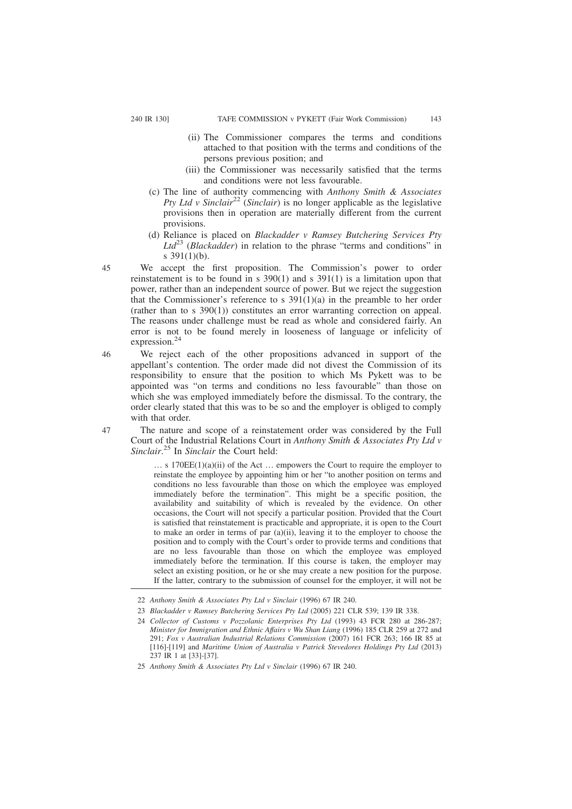- (ii) The Commissioner compares the terms and conditions attached to that position with the terms and conditions of the persons previous position; and
- (iii) the Commissioner was necessarily satisfied that the terms and conditions were not less favourable.
- (c) The line of authority commencing with *Anthony Smith & Associates Pty Ltd v Sinclair*<sup>22</sup> (*Sinclair*) is no longer applicable as the legislative provisions then in operation are materially different from the current provisions.
- (d) Reliance is placed on *Blackadder v Ramsey Butchering Services Pty Ltd*<sup>23</sup> (*Blackadder*) in relation to the phrase "terms and conditions" in s 391(1)(b).
- We accept the first proposition. The Commission's power to order reinstatement is to be found in s 390(1) and s 391(1) is a limitation upon that power, rather than an independent source of power. But we reject the suggestion that the Commissioner's reference to s  $391(1)(a)$  in the preamble to her order (rather than to s 390(1)) constitutes an error warranting correction on appeal. The reasons under challenge must be read as whole and considered fairly. An error is not to be found merely in looseness of language or infelicity of expression.<sup>24</sup>
- 46

47

45

We reject each of the other propositions advanced in support of the appellant's contention. The order made did not divest the Commission of its responsibility to ensure that the position to which Ms Pykett was to be appointed was "on terms and conditions no less favourable" than those on which she was employed immediately before the dismissal. To the contrary, the order clearly stated that this was to be so and the employer is obliged to comply with that order.

The nature and scope of a reinstatement order was considered by the Full Court of the Industrial Relations Court in *Anthony Smith & Associates Pty Ltd v Sinclair*. <sup>25</sup> In *Sinclair* the Court held:

… s 170EE(1)(a)(ii) of the Act … empowers the Court to require the employer to reinstate the employee by appointing him or her "to another position on terms and conditions no less favourable than those on which the employee was employed immediately before the termination". This might be a specific position, the availability and suitability of which is revealed by the evidence. On other occasions, the Court will not specify a particular position. Provided that the Court is satisfied that reinstatement is practicable and appropriate, it is open to the Court to make an order in terms of par (a)(ii), leaving it to the employer to choose the position and to comply with the Court's order to provide terms and conditions that are no less favourable than those on which the employee was employed immediately before the termination. If this course is taken, the employer may select an existing position, or he or she may create a new position for the purpose. If the latter, contrary to the submission of counsel for the employer, it will not be

<sup>22</sup> *Anthony Smith & Associates Pty Ltd v Sinclair* (1996) 67 IR 240.

<sup>23</sup> *Blackadder v Ramsey Butchering Services Pty Ltd* (2005) 221 CLR 539; 139 IR 338.

<sup>24</sup> *Collector of Customs v Pozzolanic Enterprises Pty Ltd* (1993) 43 FCR 280 at 286-287; *Minister for Immigration and Ethnic Affairs v Wu Shan Liang* (1996) 185 CLR 259 at 272 and 291; *Fox v Australian Industrial Relations Commission* (2007) 161 FCR 263; 166 IR 85 at [116]-[119] and *Maritime Union of Australia v Patrick Stevedores Holdings Pty Ltd* (2013) 237 IR 1 at [33]-[37].

<sup>25</sup> *Anthony Smith & Associates Pty Ltd v Sinclair* (1996) 67 IR 240.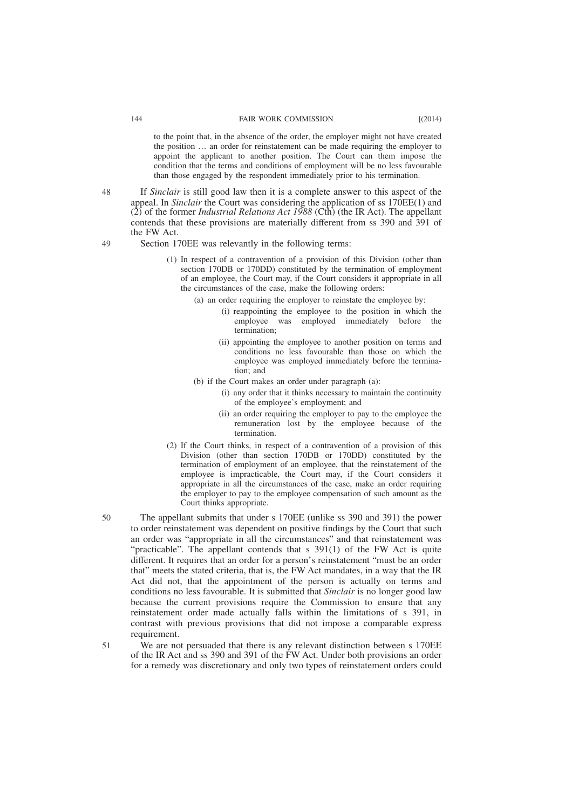to the point that, in the absence of the order, the employer might not have created the position … an order for reinstatement can be made requiring the employer to appoint the applicant to another position. The Court can them impose the condition that the terms and conditions of employment will be no less favourable than those engaged by the respondent immediately prior to his termination.

If *Sinclair* is still good law then it is a complete answer to this aspect of the appeal. In *Sinclair* the Court was considering the application of ss 170EE(1) and  $(2)$  of the former *Industrial Relations Act 1988* (Cth) (the IR Act). The appellant contends that these provisions are materially different from ss 390 and 391 of the FW Act.

Section 170EE was relevantly in the following terms:

- (1) In respect of a contravention of a provision of this Division (other than section 170DB or 170DD) constituted by the termination of employment of an employee, the Court may, if the Court considers it appropriate in all the circumstances of the case, make the following orders:
	- (a) an order requiring the employer to reinstate the employee by:
		- (i) reappointing the employee to the position in which the employee was employed immediately before the termination;
		- (ii) appointing the employee to another position on terms and conditions no less favourable than those on which the employee was employed immediately before the termination; and
	- (b) if the Court makes an order under paragraph (a):
		- (i) any order that it thinks necessary to maintain the continuity of the employee's employment; and
		- (ii) an order requiring the employer to pay to the employee the remuneration lost by the employee because of the termination.
- (2) If the Court thinks, in respect of a contravention of a provision of this Division (other than section 170DB or 170DD) constituted by the termination of employment of an employee, that the reinstatement of the employee is impracticable, the Court may, if the Court considers it appropriate in all the circumstances of the case, make an order requiring the employer to pay to the employee compensation of such amount as the Court thinks appropriate.
- The appellant submits that under s 170EE (unlike ss 390 and 391) the power to order reinstatement was dependent on positive findings by the Court that such an order was "appropriate in all the circumstances" and that reinstatement was "practicable". The appellant contends that s 391(1) of the FW Act is quite different. It requires that an order for a person's reinstatement "must be an order that" meets the stated criteria, that is, the FW Act mandates, in a way that the IR Act did not, that the appointment of the person is actually on terms and conditions no less favourable. It is submitted that *Sinclair* is no longer good law because the current provisions require the Commission to ensure that any reinstatement order made actually falls within the limitations of s 391, in contrast with previous provisions that did not impose a comparable express requirement. 50 51
	- We are not persuaded that there is any relevant distinction between s 170EE of the IR Act and ss 390 and 391 of the FW Act. Under both provisions an order for a remedy was discretionary and only two types of reinstatement orders could

49